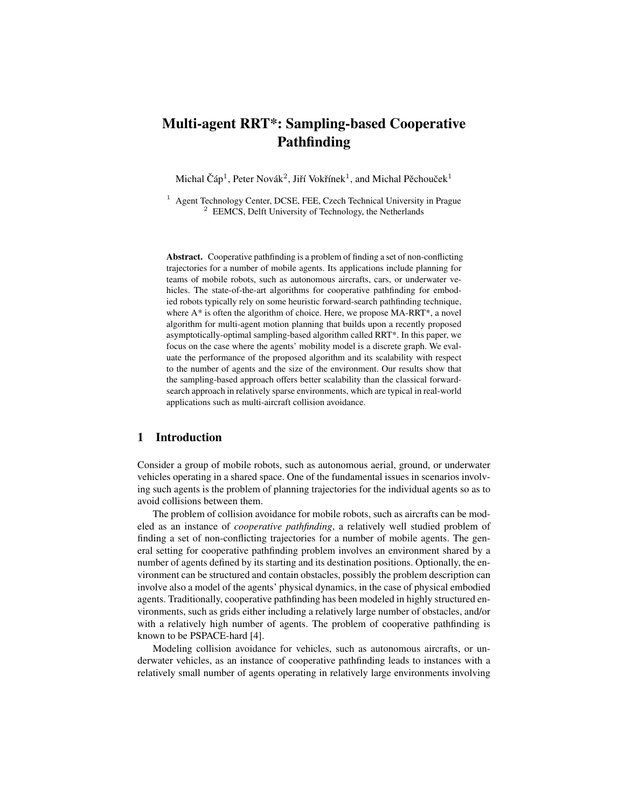# Multi-agent RRT\*: Sampling-based Cooperative Pathfinding

Michal Čáp<sup>1</sup>, Peter Novák<sup>2</sup>, Jiří Vokřínek<sup>1</sup>, and Michal Pěchouček<sup>1</sup>

<sup>1</sup> Agent Technology Center, DCSE, FEE, Czech Technical University in Prague  $2$  EEMCS, Delft University of Technology, the Netherlands

Abstract. Cooperative pathfinding is a problem of finding a set of non-conflicting trajectories for a number of mobile agents. Its applications include planning for teams of mobile robots, such as autonomous aircrafts, cars, or underwater vehicles. The state-of-the-art algorithms for cooperative pathfinding for embodied robots typically rely on some heuristic forward-search pathfinding technique, where  $A^*$  is often the algorithm of choice. Here, we propose MA-RRT<sup>\*</sup>, a novel algorithm for multi-agent motion planning that builds upon a recently proposed asymptotically-optimal sampling-based algorithm called RRT\*. In this paper, we focus on the case where the agents' mobility model is a discrete graph. We evaluate the performance of the proposed algorithm and its scalability with respect to the number of agents and the size of the environment. Our results show that the sampling-based approach offers better scalability than the classical forwardsearch approach in relatively sparse environments, which are typical in real-world applications such as multi-aircraft collision avoidance.

# 1 Introduction

Consider a group of mobile robots, such as autonomous aerial, ground, or underwater vehicles operating in a shared space. One of the fundamental issues in scenarios involving such agents is the problem of planning trajectories for the individual agents so as to avoid collisions between them.

The problem of collision avoidance for mobile robots, such as aircrafts can be modeled as an instance of *cooperative pathfinding*, a relatively well studied problem of finding a set of non-conflicting trajectories for a number of mobile agents. The general setting for cooperative pathfinding problem involves an environment shared by a number of agents defined by its starting and its destination positions. Optionally, the environment can be structured and contain obstacles, possibly the problem description can involve also a model of the agents' physical dynamics, in the case of physical embodied agents. Traditionally, cooperative pathfinding has been modeled in highly structured environments, such as grids either including a relatively large number of obstacles, and/or with a relatively high number of agents. The problem of cooperative pathfinding is known to be PSPACE-hard [4].

Modeling collision avoidance for vehicles, such as autonomous aircrafts, or underwater vehicles, as an instance of cooperative pathfinding leads to instances with a relatively small number of agents operating in relatively large environments involving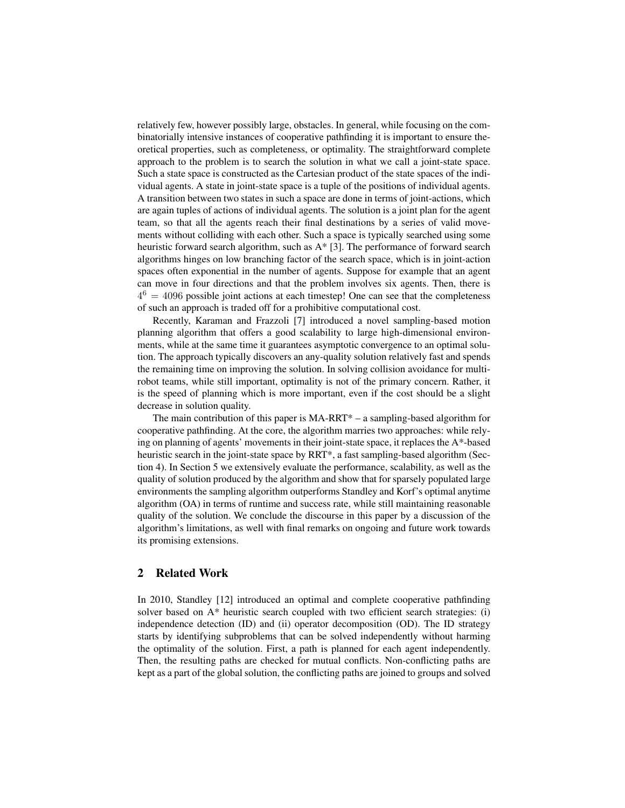relatively few, however possibly large, obstacles. In general, while focusing on the combinatorially intensive instances of cooperative pathfinding it is important to ensure theoretical properties, such as completeness, or optimality. The straightforward complete approach to the problem is to search the solution in what we call a joint-state space. Such a state space is constructed as the Cartesian product of the state spaces of the individual agents. A state in joint-state space is a tuple of the positions of individual agents. A transition between two states in such a space are done in terms of joint-actions, which are again tuples of actions of individual agents. The solution is a joint plan for the agent team, so that all the agents reach their final destinations by a series of valid movements without colliding with each other. Such a space is typically searched using some heuristic forward search algorithm, such as A\* [3]. The performance of forward search algorithms hinges on low branching factor of the search space, which is in joint-action spaces often exponential in the number of agents. Suppose for example that an agent can move in four directions and that the problem involves six agents. Then, there is  $4<sup>6</sup> = 4096$  possible joint actions at each timestep! One can see that the completeness of such an approach is traded off for a prohibitive computational cost.

Recently, Karaman and Frazzoli [7] introduced a novel sampling-based motion planning algorithm that offers a good scalability to large high-dimensional environments, while at the same time it guarantees asymptotic convergence to an optimal solution. The approach typically discovers an any-quality solution relatively fast and spends the remaining time on improving the solution. In solving collision avoidance for multirobot teams, while still important, optimality is not of the primary concern. Rather, it is the speed of planning which is more important, even if the cost should be a slight decrease in solution quality.

The main contribution of this paper is MA-RRT\* – a sampling-based algorithm for cooperative pathfinding. At the core, the algorithm marries two approaches: while relying on planning of agents' movements in their joint-state space, it replaces the A\*-based heuristic search in the joint-state space by RRT<sup>\*</sup>, a fast sampling-based algorithm (Section 4). In Section 5 we extensively evaluate the performance, scalability, as well as the quality of solution produced by the algorithm and show that for sparsely populated large environments the sampling algorithm outperforms Standley and Korf's optimal anytime algorithm (OA) in terms of runtime and success rate, while still maintaining reasonable quality of the solution. We conclude the discourse in this paper by a discussion of the algorithm's limitations, as well with final remarks on ongoing and future work towards its promising extensions.

### 2 Related Work

In 2010, Standley [12] introduced an optimal and complete cooperative pathfinding solver based on A\* heuristic search coupled with two efficient search strategies: (i) independence detection (ID) and (ii) operator decomposition (OD). The ID strategy starts by identifying subproblems that can be solved independently without harming the optimality of the solution. First, a path is planned for each agent independently. Then, the resulting paths are checked for mutual conflicts. Non-conflicting paths are kept as a part of the global solution, the conflicting paths are joined to groups and solved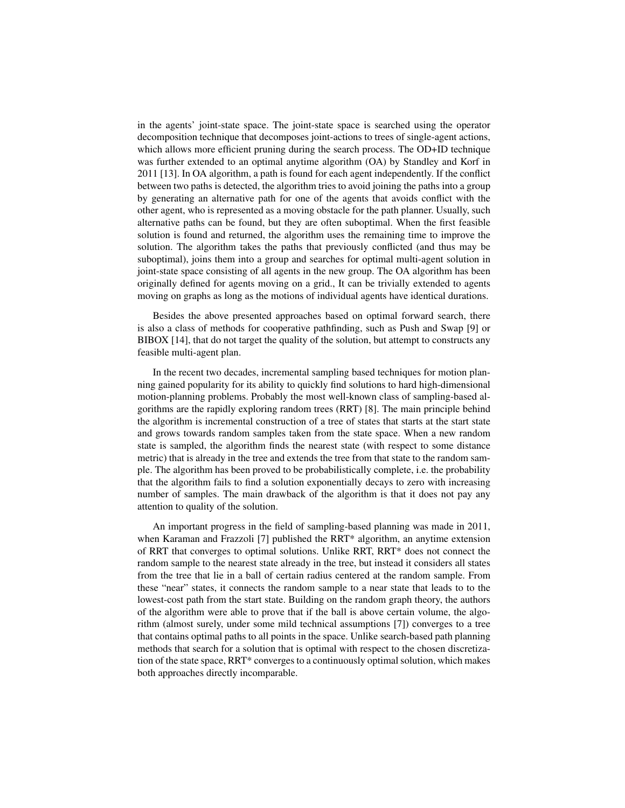in the agents' joint-state space. The joint-state space is searched using the operator decomposition technique that decomposes joint-actions to trees of single-agent actions, which allows more efficient pruning during the search process. The OD+ID technique was further extended to an optimal anytime algorithm (OA) by Standley and Korf in 2011 [13]. In OA algorithm, a path is found for each agent independently. If the conflict between two paths is detected, the algorithm tries to avoid joining the paths into a group by generating an alternative path for one of the agents that avoids conflict with the other agent, who is represented as a moving obstacle for the path planner. Usually, such alternative paths can be found, but they are often suboptimal. When the first feasible solution is found and returned, the algorithm uses the remaining time to improve the solution. The algorithm takes the paths that previously conflicted (and thus may be suboptimal), joins them into a group and searches for optimal multi-agent solution in joint-state space consisting of all agents in the new group. The OA algorithm has been originally defined for agents moving on a grid., It can be trivially extended to agents moving on graphs as long as the motions of individual agents have identical durations.

Besides the above presented approaches based on optimal forward search, there is also a class of methods for cooperative pathfinding, such as Push and Swap [9] or BIBOX [14], that do not target the quality of the solution, but attempt to constructs any feasible multi-agent plan.

In the recent two decades, incremental sampling based techniques for motion planning gained popularity for its ability to quickly find solutions to hard high-dimensional motion-planning problems. Probably the most well-known class of sampling-based algorithms are the rapidly exploring random trees (RRT) [8]. The main principle behind the algorithm is incremental construction of a tree of states that starts at the start state and grows towards random samples taken from the state space. When a new random state is sampled, the algorithm finds the nearest state (with respect to some distance metric) that is already in the tree and extends the tree from that state to the random sample. The algorithm has been proved to be probabilistically complete, i.e. the probability that the algorithm fails to find a solution exponentially decays to zero with increasing number of samples. The main drawback of the algorithm is that it does not pay any attention to quality of the solution.

An important progress in the field of sampling-based planning was made in 2011, when Karaman and Frazzoli [7] published the RRT\* algorithm, an anytime extension of RRT that converges to optimal solutions. Unlike RRT, RRT\* does not connect the random sample to the nearest state already in the tree, but instead it considers all states from the tree that lie in a ball of certain radius centered at the random sample. From these "near" states, it connects the random sample to a near state that leads to to the lowest-cost path from the start state. Building on the random graph theory, the authors of the algorithm were able to prove that if the ball is above certain volume, the algorithm (almost surely, under some mild technical assumptions [7]) converges to a tree that contains optimal paths to all points in the space. Unlike search-based path planning methods that search for a solution that is optimal with respect to the chosen discretization of the state space, RRT\* converges to a continuously optimal solution, which makes both approaches directly incomparable.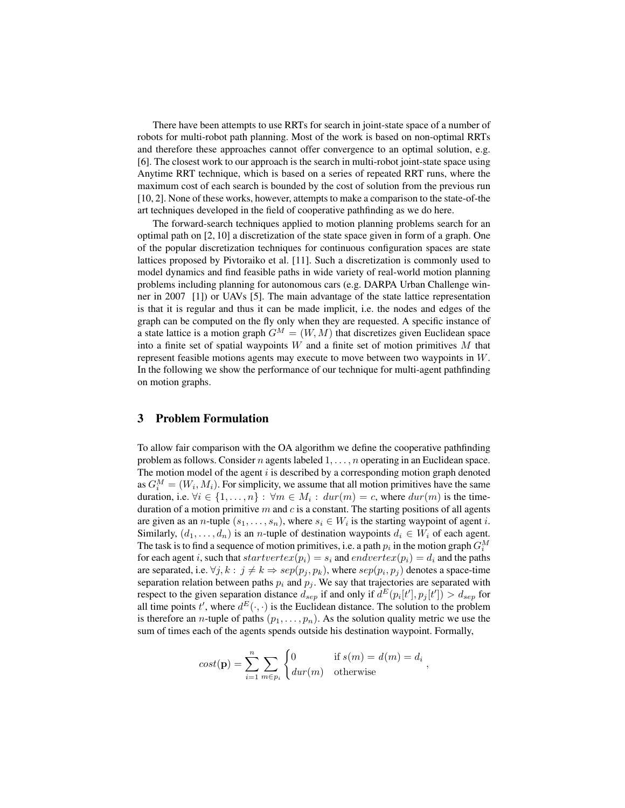There have been attempts to use RRTs for search in joint-state space of a number of robots for multi-robot path planning. Most of the work is based on non-optimal RRTs and therefore these approaches cannot offer convergence to an optimal solution, e.g. [6]. The closest work to our approach is the search in multi-robot joint-state space using Anytime RRT technique, which is based on a series of repeated RRT runs, where the maximum cost of each search is bounded by the cost of solution from the previous run [10, 2]. None of these works, however, attempts to make a comparison to the state-of-the art techniques developed in the field of cooperative pathfinding as we do here.

The forward-search techniques applied to motion planning problems search for an optimal path on [2, 10] a discretization of the state space given in form of a graph. One of the popular discretization techniques for continuous configuration spaces are state lattices proposed by Pivtoraiko et al. [11]. Such a discretization is commonly used to model dynamics and find feasible paths in wide variety of real-world motion planning problems including planning for autonomous cars (e.g. DARPA Urban Challenge winner in 2007 [1]) or UAVs [5]. The main advantage of the state lattice representation is that it is regular and thus it can be made implicit, i.e. the nodes and edges of the graph can be computed on the fly only when they are requested. A specific instance of a state lattice is a motion graph  $G^M = (W, M)$  that discretizes given Euclidean space into a finite set of spatial waypoints  $W$  and a finite set of motion primitives  $M$  that represent feasible motions agents may execute to move between two waypoints in W. In the following we show the performance of our technique for multi-agent pathfinding on motion graphs.

# 3 Problem Formulation

To allow fair comparison with the OA algorithm we define the cooperative pathfinding problem as follows. Consider n agents labeled  $1, \ldots, n$  operating in an Euclidean space. The motion model of the agent  $i$  is described by a corresponding motion graph denoted as  $G_i^M = (W_i, M_i)$ . For simplicity, we assume that all motion primitives have the same duration, i.e.  $\forall i \in \{1, ..., n\} : \forall m \in M_i : \text{dur}(m) = c$ , where  $\text{dur}(m)$  is the timeduration of a motion primitive  $m$  and  $c$  is a constant. The starting positions of all agents are given as an *n*-tuple  $(s_1, \ldots, s_n)$ , where  $s_i \in W_i$  is the starting waypoint of agent *i*. Similarly,  $(d_1, \ldots, d_n)$  is an *n*-tuple of destination waypoints  $d_i \in W_i$  of each agent. The task is to find a sequence of motion primitives, i.e. a path  $p_i$  in the motion graph  $G_i^M$ for each agent i, such that  $startvertex(p_i) = s_i$  and  $endvertex(p_i) = d_i$  and the paths are separated, i.e.  $\forall j, k : j \neq k \Rightarrow sep(p_j, p_k)$ , where  $sep(p_i, p_j)$  denotes a space-time separation relation between paths  $p_i$  and  $p_j$ . We say that trajectories are separated with respect to the given separation distance  $d_{sep}$  if and only if  $d^{E}(p_i[t'], p_j[t']) > d_{sep}$  for all time points t', where  $d^{E}(\cdot, \cdot)$  is the Euclidean distance. The solution to the problem is therefore an *n*-tuple of paths  $(p_1, \ldots, p_n)$ . As the solution quality metric we use the sum of times each of the agents spends outside his destination waypoint. Formally,

$$
cost(\mathbf{p}) = \sum_{i=1}^{n} \sum_{m \in p_i} \begin{cases} 0 & \text{if } s(m) = d(m) = d_i \\ \text{dur}(m) & \text{otherwise} \end{cases}
$$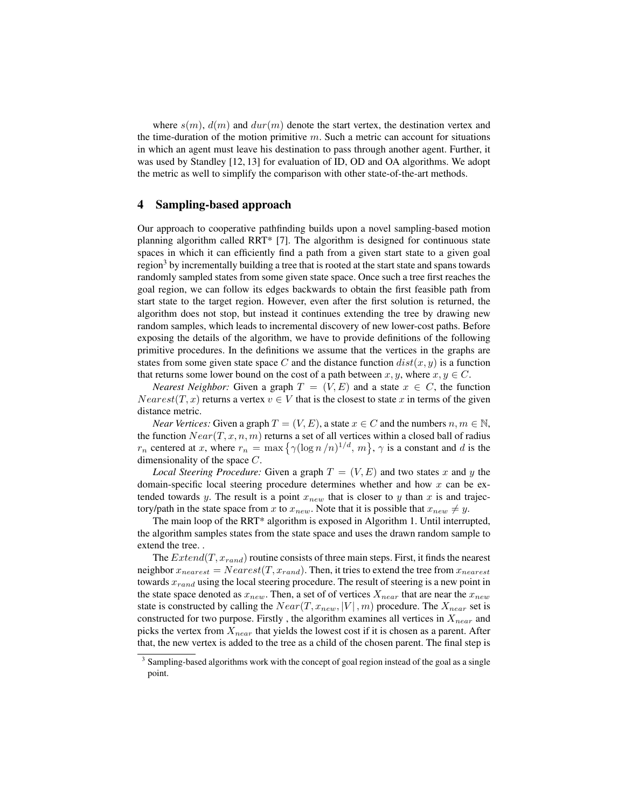where  $s(m)$ ,  $d(m)$  and  $dur(m)$  denote the start vertex, the destination vertex and the time-duration of the motion primitive  $m$ . Such a metric can account for situations in which an agent must leave his destination to pass through another agent. Further, it was used by Standley [12, 13] for evaluation of ID, OD and OA algorithms. We adopt the metric as well to simplify the comparison with other state-of-the-art methods.

#### 4 Sampling-based approach

Our approach to cooperative pathfinding builds upon a novel sampling-based motion planning algorithm called RRT\* [7]. The algorithm is designed for continuous state spaces in which it can efficiently find a path from a given start state to a given goal region<sup>3</sup> by incrementally building a tree that is rooted at the start state and spans towards randomly sampled states from some given state space. Once such a tree first reaches the goal region, we can follow its edges backwards to obtain the first feasible path from start state to the target region. However, even after the first solution is returned, the algorithm does not stop, but instead it continues extending the tree by drawing new random samples, which leads to incremental discovery of new lower-cost paths. Before exposing the details of the algorithm, we have to provide definitions of the following primitive procedures. In the definitions we assume that the vertices in the graphs are states from some given state space C and the distance function  $dist(x, y)$  is a function that returns some lower bound on the cost of a path between  $x, y$ , where  $x, y \in C$ .

*Nearest Neighbor:* Given a graph  $T = (V, E)$  and a state  $x \in C$ , the function  $Nearest(T, x)$  returns a vertex  $v \in V$  that is the closest to state x in terms of the given distance metric.

*Near Vertices:* Given a graph  $T = (V, E)$ , a state  $x \in C$  and the numbers  $n, m \in \mathbb{N}$ , the function  $Near(T, x, n, m)$  returns a set of all vertices within a closed ball of radius  $r_n$  centered at x, where  $r_n = \max\left\{\gamma(\log n/n)^{1/d}, m\right\}$ ,  $\gamma$  is a constant and d is the dimensionality of the space C.

*Local Steering Procedure:* Given a graph  $T = (V, E)$  and two states x and y the domain-specific local steering procedure determines whether and how  $x$  can be extended towards y. The result is a point  $x_{new}$  that is closer to y than x is and trajectory/path in the state space from x to  $x_{new}$ . Note that it is possible that  $x_{new} \neq y$ .

The main loop of the RRT\* algorithm is exposed in Algorithm 1. Until interrupted, the algorithm samples states from the state space and uses the drawn random sample to extend the tree. .

The  $Extend(T, x_{rand})$  routine consists of three main steps. First, it finds the nearest neighbor  $x_{nearest} = Nearest(T, x_{rand})$ . Then, it tries to extend the tree from  $x_{nearest}$ towards  $x_{rand}$  using the local steering procedure. The result of steering is a new point in the state space denoted as  $x_{new}$ . Then, a set of of vertices  $X_{near}$  that are near the  $x_{new}$ state is constructed by calling the  $Near(T, x_{new}, |V|, m)$  procedure. The  $X_{near}$  set is constructed for two purpose. Firstly, the algorithm examines all vertices in  $X_{near}$  and picks the vertex from  $X_{near}$  that yields the lowest cost if it is chosen as a parent. After that, the new vertex is added to the tree as a child of the chosen parent. The final step is

<sup>&</sup>lt;sup>3</sup> Sampling-based algorithms work with the concept of goal region instead of the goal as a single point.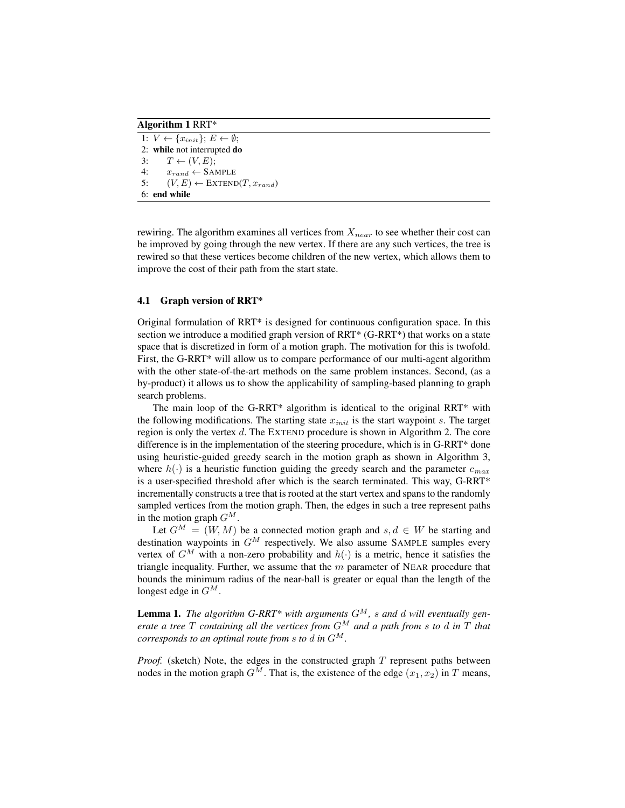Algorithm 1 RRT\*

1:  $V \leftarrow \{x_{init}\}; E \leftarrow \emptyset;$ 2: while not interrupted do 3:  $T \leftarrow (V, E);$ 4:  $x_{rand} \leftarrow$  SAMPLE 5:  $(V, E) \leftarrow \text{EXTEND}(T, x_{rand})$ 6: end while

rewiring. The algorithm examines all vertices from  $X_{near}$  to see whether their cost can be improved by going through the new vertex. If there are any such vertices, the tree is rewired so that these vertices become children of the new vertex, which allows them to improve the cost of their path from the start state.

#### 4.1 Graph version of RRT\*

Original formulation of RRT\* is designed for continuous configuration space. In this section we introduce a modified graph version of RRT\* (G-RRT\*) that works on a state space that is discretized in form of a motion graph. The motivation for this is twofold. First, the G-RRT\* will allow us to compare performance of our multi-agent algorithm with the other state-of-the-art methods on the same problem instances. Second, (as a by-product) it allows us to show the applicability of sampling-based planning to graph search problems.

The main loop of the G-RRT\* algorithm is identical to the original RRT\* with the following modifications. The starting state  $x_{init}$  is the start waypoint s. The target region is only the vertex d. The EXTEND procedure is shown in Algorithm 2. The core difference is in the implementation of the steering procedure, which is in G-RRT\* done using heuristic-guided greedy search in the motion graph as shown in Algorithm 3, where  $h(\cdot)$  is a heuristic function guiding the greedy search and the parameter  $c_{max}$ is a user-specified threshold after which is the search terminated. This way, G-RRT\* incrementally constructs a tree that is rooted at the start vertex and spans to the randomly sampled vertices from the motion graph. Then, the edges in such a tree represent paths in the motion graph  $G^M$ .

Let  $G^M = (W, M)$  be a connected motion graph and  $s, d \in W$  be starting and destination waypoints in  $G^M$  respectively. We also assume SAMPLE samples every vertex of  $G^M$  with a non-zero probability and  $h(\cdot)$  is a metric, hence it satisfies the triangle inequality. Further, we assume that the  $m$  parameter of NEAR procedure that bounds the minimum radius of the near-ball is greater or equal than the length of the longest edge in  $G^M$ .

**Lemma 1.** The algorithm G-RRT\* with arguments  $G^M$ , s and d will eventually gen*erate a tree*  $T$  *containing all the vertices from*  $G^M$  *and a path from s to d in*  $T$  *that corresponds to an optimal route from s to d in*  $G^M$ .

*Proof.* (sketch) Note, the edges in the constructed graph  $T$  represent paths between nodes in the motion graph  $G^M$ . That is, the existence of the edge  $(x_1, x_2)$  in T means,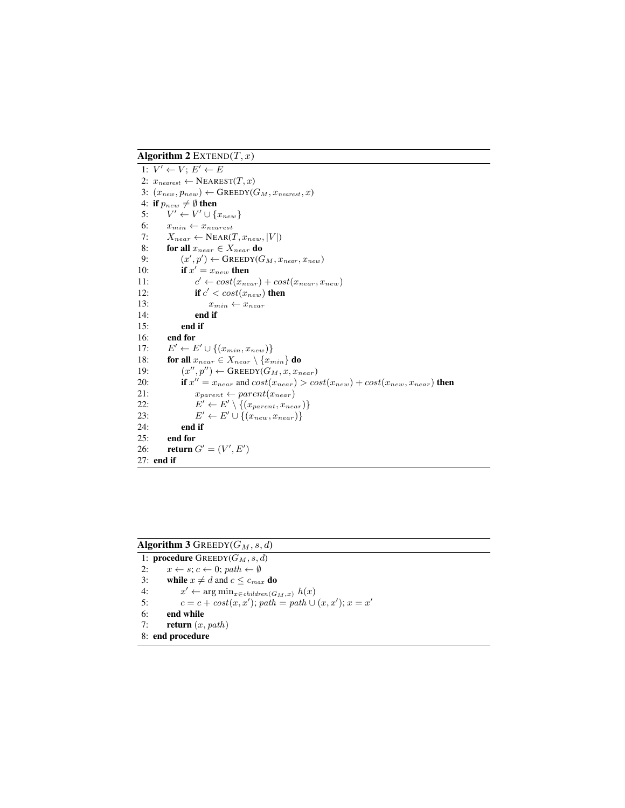Algorithm 2 EXTEND $(T, x)$ 

1:  $V' \leftarrow V$ ;  $E' \leftarrow E$ 2:  $x_{nearest} \leftarrow \text{NEAREST}(T, x)$ 3:  $(x_{new}, p_{new}) \leftarrow$  GREEDY( $G_M, x_{nearest}, x$ ) 4: if  $p_{new} \neq \emptyset$  then 5:  $V' \leftarrow V' \cup \{x_{new}\}$ 6:  $x_{min} \leftarrow x_{nearest}$ 7:  $X_{near} \leftarrow \text{NEAR}(T, x_{new}, |V|)$ 8: for all  $x_{near} \in X_{near}$  do<br>9:  $(x', p') \leftarrow$  GREEDY(G 9:  $(x', p') \leftarrow$  GREEDY( $G_M, x_{near}, x_{new}$ ) 10: **if**  $x' = x_{new}$  then  $11:$  $c' \leftarrow cost(x_{near}) + cost(x_{near}, x_{new})$ 12: **if**  $c' < cost(x_{new})$  **then** 13:  $x_{min} \leftarrow x_{near}$ 14: end if 15: end if 16: end for  $17:$  $\ell' \leftarrow E' \cup \{(x_{min}, x_{new})\}$ 18: for all  $x_{near} \in X_{near} \setminus \{x_{min}\}$  do 19:  $(0'', p'') \leftarrow$  GREEDY $(G_M, x, x_{near})$ 20: if  $x'' = x_{near}$  and  $cost(x_{near}) > cost(x_{new}) + cost(x_{new}, x_{near})$  then 21:  $x_{parent} \leftarrow parent(x_{near})$  $22:$  $\ell' \leftarrow E' \setminus \{(x_{parent}, x_{near})\}$  $23:$  $\ell' \leftarrow E' \cup \{(x_{new}, x_{near})\}$ 24: end if 25: end for 26: **return**  $G' = (V', E')$ 27: end if

# Algorithm 3 GREEDY( $G_M$ , s, d)

1: procedure  $G$ REEDY( $G_M$ , s, d) 2:  $x \leftarrow s$ ;  $c \leftarrow 0$ ; path  $\leftarrow \emptyset$ 3: while  $x \neq d$  and  $c \leq c_{max}$  do 4:  $x' \leftarrow \arg \min_{x \in children(G_M, x)} h(x)$ 5:  $c = c + \cos t(x, x')$ ; path = path  $\cup (x, x')$ ;  $x = x'$ 6: end while 7: **return**  $(x, path)$ 8: end procedure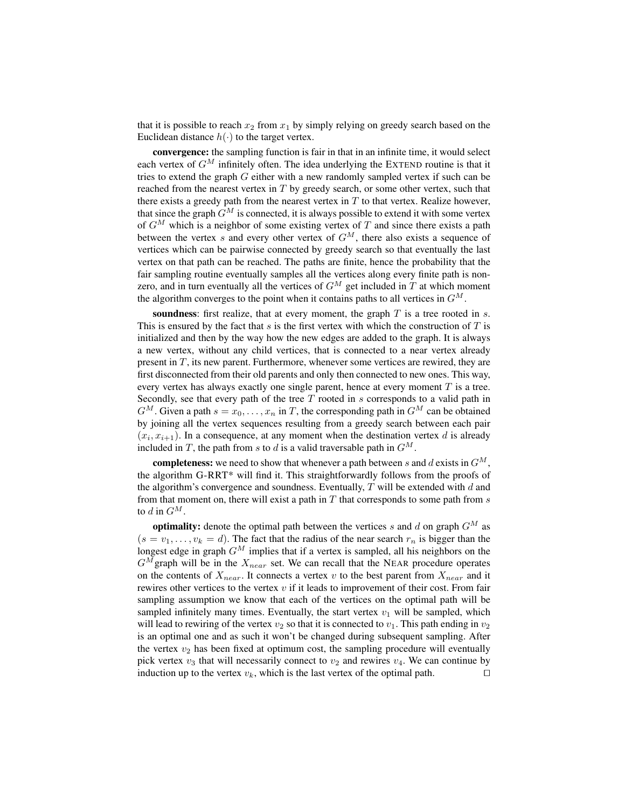that it is possible to reach  $x_2$  from  $x_1$  by simply relying on greedy search based on the Euclidean distance  $h(\cdot)$  to the target vertex.

convergence: the sampling function is fair in that in an infinite time, it would select each vertex of  $G^M$  infinitely often. The idea underlying the EXTEND routine is that it tries to extend the graph G either with a new randomly sampled vertex if such can be reached from the nearest vertex in  $T$  by greedy search, or some other vertex, such that there exists a greedy path from the nearest vertex in  $T$  to that vertex. Realize however, that since the graph  $G^M$  is connected, it is always possible to extend it with some vertex of  $G^M$  which is a neighbor of some existing vertex of T and since there exists a path between the vertex s and every other vertex of  $G^M$ , there also exists a sequence of vertices which can be pairwise connected by greedy search so that eventually the last vertex on that path can be reached. The paths are finite, hence the probability that the fair sampling routine eventually samples all the vertices along every finite path is nonzero, and in turn eventually all the vertices of  $G^M$  get included in T at which moment the algorithm converges to the point when it contains paths to all vertices in  $G^M$ .

soundness: first realize, that at every moment, the graph  $T$  is a tree rooted in  $s$ . This is ensured by the fact that  $s$  is the first vertex with which the construction of  $T$  is initialized and then by the way how the new edges are added to the graph. It is always a new vertex, without any child vertices, that is connected to a near vertex already present in T, its new parent. Furthermore, whenever some vertices are rewired, they are first disconnected from their old parents and only then connected to new ones. This way, every vertex has always exactly one single parent, hence at every moment  $T$  is a tree. Secondly, see that every path of the tree  $T$  rooted in  $s$  corresponds to a valid path in  $G^M$ . Given a path  $s = x_0, \ldots, x_n$  in T, the corresponding path in  $G^M$  can be obtained by joining all the vertex sequences resulting from a greedy search between each pair  $(x_i, x_{i+1})$ . In a consequence, at any moment when the destination vertex d is already included in T, the path from s to d is a valid traversable path in  $G^M$ .

**completeness:** we need to show that whenever a path between s and d exists in  $G^M$ , the algorithm G-RRT\* will find it. This straightforwardly follows from the proofs of the algorithm's convergence and soundness. Eventually,  $T$  will be extended with  $d$  and from that moment on, there will exist a path in  $T$  that corresponds to some path from  $s$ to d in  $G^M$ .

optimality: denote the optimal path between the vertices s and d on graph  $G^M$  as  $(s = v_1, \ldots, v_k = d)$ . The fact that the radius of the near search  $r_n$  is bigger than the longest edge in graph  $G^M$  implies that if a vertex is sampled, all his neighbors on the  $G^M$ graph will be in the  $X_{near}$  set. We can recall that the NEAR procedure operates on the contents of  $X_{near}$ . It connects a vertex v to the best parent from  $X_{near}$  and it rewires other vertices to the vertex  $v$  if it leads to improvement of their cost. From fair sampling assumption we know that each of the vertices on the optimal path will be sampled infinitely many times. Eventually, the start vertex  $v_1$  will be sampled, which will lead to rewiring of the vertex  $v_2$  so that it is connected to  $v_1$ . This path ending in  $v_2$ is an optimal one and as such it won't be changed during subsequent sampling. After the vertex  $v_2$  has been fixed at optimum cost, the sampling procedure will eventually pick vertex  $v_3$  that will necessarily connect to  $v_2$  and rewires  $v_4$ . We can continue by induction up to the vertex  $v_k$ , which is the last vertex of the optimal path.  $\square$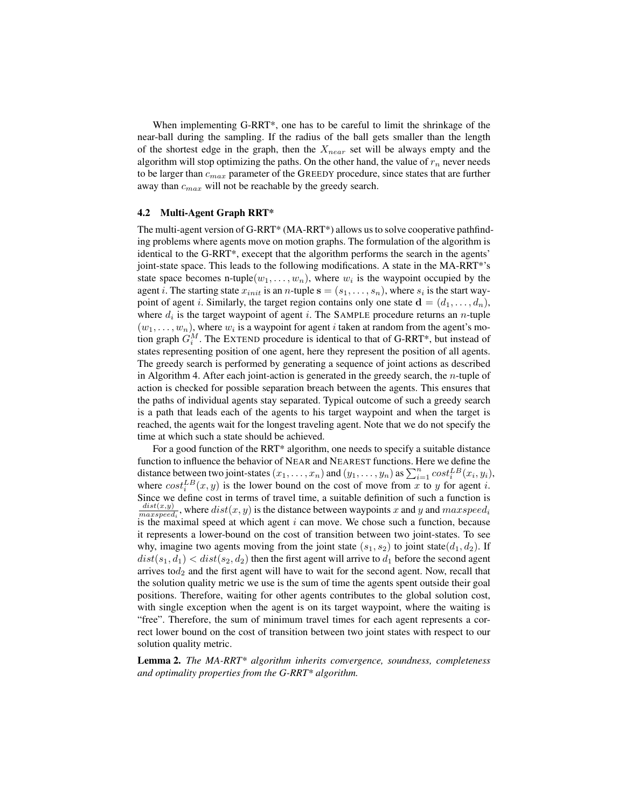When implementing G-RRT\*, one has to be careful to limit the shrinkage of the near-ball during the sampling. If the radius of the ball gets smaller than the length of the shortest edge in the graph, then the  $X_{near}$  set will be always empty and the algorithm will stop optimizing the paths. On the other hand, the value of  $r_n$  never needs to be larger than  $c_{max}$  parameter of the GREEDY procedure, since states that are further away than  $c_{max}$  will not be reachable by the greedy search.

#### 4.2 Multi-Agent Graph RRT\*

The multi-agent version of G-RRT\* (MA-RRT\*) allows us to solve cooperative pathfinding problems where agents move on motion graphs. The formulation of the algorithm is identical to the G-RRT\*, execept that the algorithm performs the search in the agents' joint-state space. This leads to the following modifications. A state in the MA-RRT\*'s state space becomes n-tuple $(w_1, \ldots, w_n)$ , where  $w_i$  is the waypoint occupied by the agent *i*. The starting state  $x_{init}$  is an *n*-tuple  $\mathbf{s} = (s_1, \ldots, s_n)$ , where  $s_i$  is the start waypoint of agent *i*. Similarly, the target region contains only one state  $\mathbf{d} = (d_1, \ldots, d_n)$ , where  $d_i$  is the target waypoint of agent i. The SAMPLE procedure returns an *n*-tuple  $(w_1, \ldots, w_n)$ , where  $w_i$  is a waypoint for agent *i* taken at random from the agent's motion graph  $G_i^M$ . The EXTEND procedure is identical to that of G-RRT\*, but instead of states representing position of one agent, here they represent the position of all agents. The greedy search is performed by generating a sequence of joint actions as described in Algorithm 4. After each joint-action is generated in the greedy search, the  $n$ -tuple of action is checked for possible separation breach between the agents. This ensures that the paths of individual agents stay separated. Typical outcome of such a greedy search is a path that leads each of the agents to his target waypoint and when the target is reached, the agents wait for the longest traveling agent. Note that we do not specify the time at which such a state should be achieved.

For a good function of the RRT\* algorithm, one needs to specify a suitable distance function to influence the behavior of NEAR and NEAREST functions. Here we define the distance between two joint-states  $(x_1, \ldots, x_n)$  and  $(y_1, \ldots, y_n)$  as  $\sum_{i=1}^n cost_i^{LB}(x_i, y_i)$ , where  $cost_i^{LB}(x, y)$  is the lower bound on the cost of move from x to y for agent i. Since we define cost in terms of travel time, a suitable definition of such a function is  $dist(x,y)$  $\frac{dist(x,y)}{maxspeed_i}$ , where  $dist(x, y)$  is the distance between waypoints x and y and maxspeed<sub>i</sub> is the maximal speed at which agent  $i$  can move. We chose such a function, because it represents a lower-bound on the cost of transition between two joint-states. To see why, imagine two agents moving from the joint state  $(s_1, s_2)$  to joint state $(d_1, d_2)$ . If  $dist(s_1, d_1) < dist(s_2, d_2)$  then the first agent will arrive to  $d_1$  before the second agent arrives to $d_2$  and the first agent will have to wait for the second agent. Now, recall that the solution quality metric we use is the sum of time the agents spent outside their goal positions. Therefore, waiting for other agents contributes to the global solution cost, with single exception when the agent is on its target waypoint, where the waiting is "free". Therefore, the sum of minimum travel times for each agent represents a correct lower bound on the cost of transition between two joint states with respect to our solution quality metric.

Lemma 2. *The MA-RRT\* algorithm inherits convergence, soundness, completeness and optimality properties from the G-RRT\* algorithm.*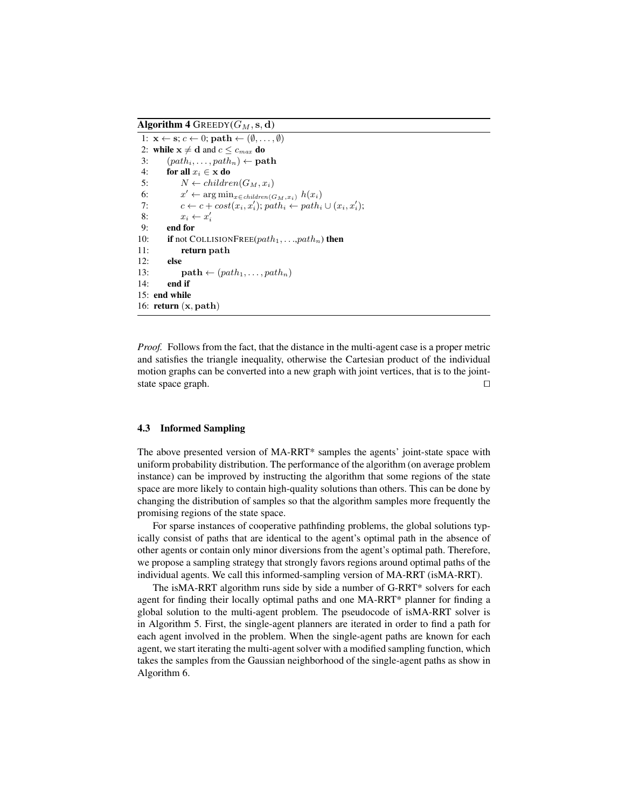Algorithm 4 GREEDY( $G_M$ , s, d)

```
1: \mathbf{x} \leftarrow \mathbf{s}; c \leftarrow 0; \textbf{path} \leftarrow (\emptyset, \dots, \emptyset)2: while x \neq d and c \leq c_{max} do
3: (path_i, \ldots, path_n) \leftarrow \textbf{path}4: for all x_i \in \mathbf{x} do
 5: N \leftarrow children(G_M, x_i)6: x' \leftarrow \arg \min_{x \in children(G_M, x_i)} h(x_i)7: c \leftarrow c + cost(x_i, x'_i); path_i \leftarrow path_i \cup (x_i, x'_i);8: x_i \leftarrow x'_i9: end for
10: if not COLLISIONFREE(path_1, ..., path_n) then
11: return path
12: else
13: path \leftarrow (path_1, \ldots, path_n)14: end if
15: end while
16: return (x, path)
```
*Proof.* Follows from the fact, that the distance in the multi-agent case is a proper metric and satisfies the triangle inequality, otherwise the Cartesian product of the individual motion graphs can be converted into a new graph with joint vertices, that is to the jointstate space graph.  $\Box$ 

#### 4.3 Informed Sampling

The above presented version of MA-RRT\* samples the agents' joint-state space with uniform probability distribution. The performance of the algorithm (on average problem instance) can be improved by instructing the algorithm that some regions of the state space are more likely to contain high-quality solutions than others. This can be done by changing the distribution of samples so that the algorithm samples more frequently the promising regions of the state space.

For sparse instances of cooperative pathfinding problems, the global solutions typically consist of paths that are identical to the agent's optimal path in the absence of other agents or contain only minor diversions from the agent's optimal path. Therefore, we propose a sampling strategy that strongly favors regions around optimal paths of the individual agents. We call this informed-sampling version of MA-RRT (isMA-RRT).

The isMA-RRT algorithm runs side by side a number of G-RRT\* solvers for each agent for finding their locally optimal paths and one MA-RRT\* planner for finding a global solution to the multi-agent problem. The pseudocode of isMA-RRT solver is in Algorithm 5. First, the single-agent planners are iterated in order to find a path for each agent involved in the problem. When the single-agent paths are known for each agent, we start iterating the multi-agent solver with a modified sampling function, which takes the samples from the Gaussian neighborhood of the single-agent paths as show in Algorithm 6.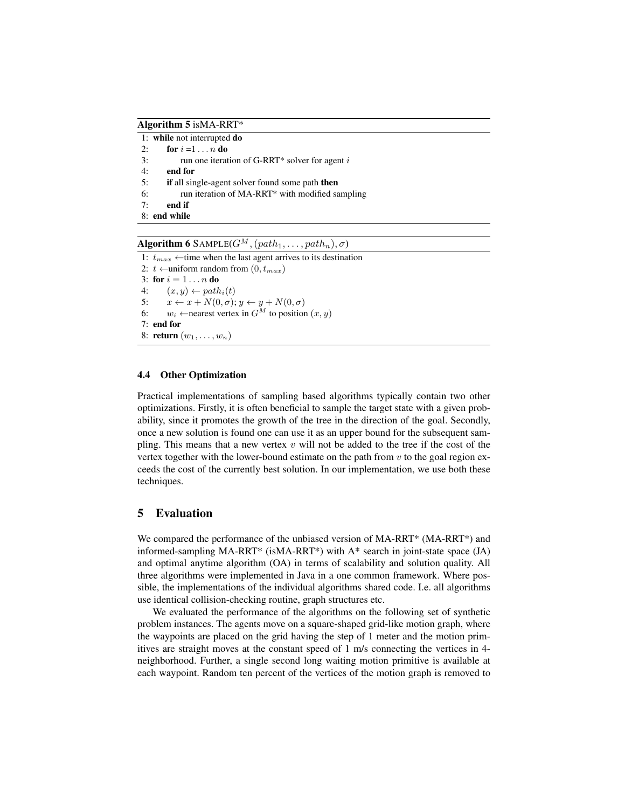Algorithm 5 isMA-RRT\*

1: while not interrupted do 2: **for**  $i = 1 ... n$  **do** 3: run one iteration of G-RRT\* solver for agent  $i$ 4: end for 5: if all single-agent solver found some path then 6: run iteration of MA-RRT\* with modified sampling 7: end if 8: end while

**Algorithm 6** SAMPLE( $G^M$ ,  $(path_1, \ldots, path_n), \sigma)$ 

1:  $t_{max} \leftarrow$ time when the last agent arrives to its destination 2:  $t \leftarrow$ uniform random from  $(0, t_{max})$ 3: for  $i = 1 ... n$  do 4:  $(x, y) \leftarrow path_i(t)$ 5:  $x \leftarrow x + N(0, \sigma); y \leftarrow y + N(0, \sigma)$ 6:  $w_i$  ←nearest vertex in  $G^M$  to position  $(x, y)$ 7: end for 8: **return**  $(w_1, \ldots, w_n)$ 

# 4.4 Other Optimization

Practical implementations of sampling based algorithms typically contain two other optimizations. Firstly, it is often beneficial to sample the target state with a given probability, since it promotes the growth of the tree in the direction of the goal. Secondly, once a new solution is found one can use it as an upper bound for the subsequent sampling. This means that a new vertex  $v$  will not be added to the tree if the cost of the vertex together with the lower-bound estimate on the path from  $v$  to the goal region exceeds the cost of the currently best solution. In our implementation, we use both these techniques.

# 5 Evaluation

We compared the performance of the unbiased version of MA-RRT<sup>\*</sup> (MA-RRT<sup>\*</sup>) and informed-sampling MA-RRT\* (isMA-RRT\*) with A\* search in joint-state space (JA) and optimal anytime algorithm (OA) in terms of scalability and solution quality. All three algorithms were implemented in Java in a one common framework. Where possible, the implementations of the individual algorithms shared code. I.e. all algorithms use identical collision-checking routine, graph structures etc.

We evaluated the performance of the algorithms on the following set of synthetic problem instances. The agents move on a square-shaped grid-like motion graph, where the waypoints are placed on the grid having the step of 1 meter and the motion primitives are straight moves at the constant speed of 1 m/s connecting the vertices in 4 neighborhood. Further, a single second long waiting motion primitive is available at each waypoint. Random ten percent of the vertices of the motion graph is removed to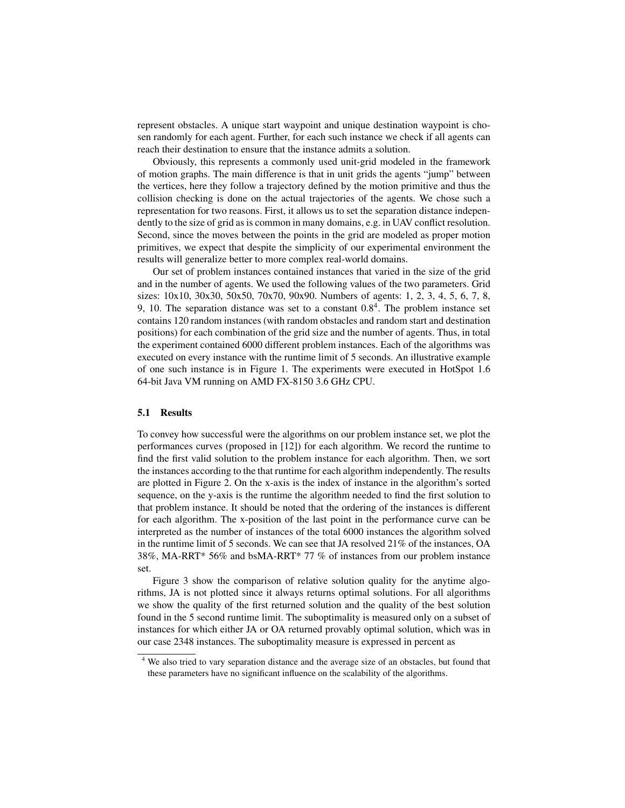represent obstacles. A unique start waypoint and unique destination waypoint is chosen randomly for each agent. Further, for each such instance we check if all agents can reach their destination to ensure that the instance admits a solution.

Obviously, this represents a commonly used unit-grid modeled in the framework of motion graphs. The main difference is that in unit grids the agents "jump" between the vertices, here they follow a trajectory defined by the motion primitive and thus the collision checking is done on the actual trajectories of the agents. We chose such a representation for two reasons. First, it allows us to set the separation distance independently to the size of grid as is common in many domains, e.g. in UAV conflict resolution. Second, since the moves between the points in the grid are modeled as proper motion primitives, we expect that despite the simplicity of our experimental environment the results will generalize better to more complex real-world domains.

Our set of problem instances contained instances that varied in the size of the grid and in the number of agents. We used the following values of the two parameters. Grid sizes: 10x10, 30x30, 50x50, 70x70, 90x90. Numbers of agents: 1, 2, 3, 4, 5, 6, 7, 8, 9, 10. The separation distance was set to a constant  $0.8<sup>4</sup>$ . The problem instance set contains 120 random instances (with random obstacles and random start and destination positions) for each combination of the grid size and the number of agents. Thus, in total the experiment contained 6000 different problem instances. Each of the algorithms was executed on every instance with the runtime limit of 5 seconds. An illustrative example of one such instance is in Figure 1. The experiments were executed in HotSpot 1.6 64-bit Java VM running on AMD FX-8150 3.6 GHz CPU.

#### 5.1 Results

To convey how successful were the algorithms on our problem instance set, we plot the performances curves (proposed in [12]) for each algorithm. We record the runtime to find the first valid solution to the problem instance for each algorithm. Then, we sort the instances according to the that runtime for each algorithm independently. The results are plotted in Figure 2. On the x-axis is the index of instance in the algorithm's sorted sequence, on the y-axis is the runtime the algorithm needed to find the first solution to that problem instance. It should be noted that the ordering of the instances is different for each algorithm. The x-position of the last point in the performance curve can be interpreted as the number of instances of the total 6000 instances the algorithm solved in the runtime limit of 5 seconds. We can see that JA resolved 21% of the instances, OA 38%, MA-RRT\* 56% and bsMA-RRT\* 77 % of instances from our problem instance set.

Figure 3 show the comparison of relative solution quality for the anytime algorithms, JA is not plotted since it always returns optimal solutions. For all algorithms we show the quality of the first returned solution and the quality of the best solution found in the 5 second runtime limit. The suboptimality is measured only on a subset of instances for which either JA or OA returned provably optimal solution, which was in our case 2348 instances. The suboptimality measure is expressed in percent as

<sup>4</sup> We also tried to vary separation distance and the average size of an obstacles, but found that these parameters have no significant influence on the scalability of the algorithms.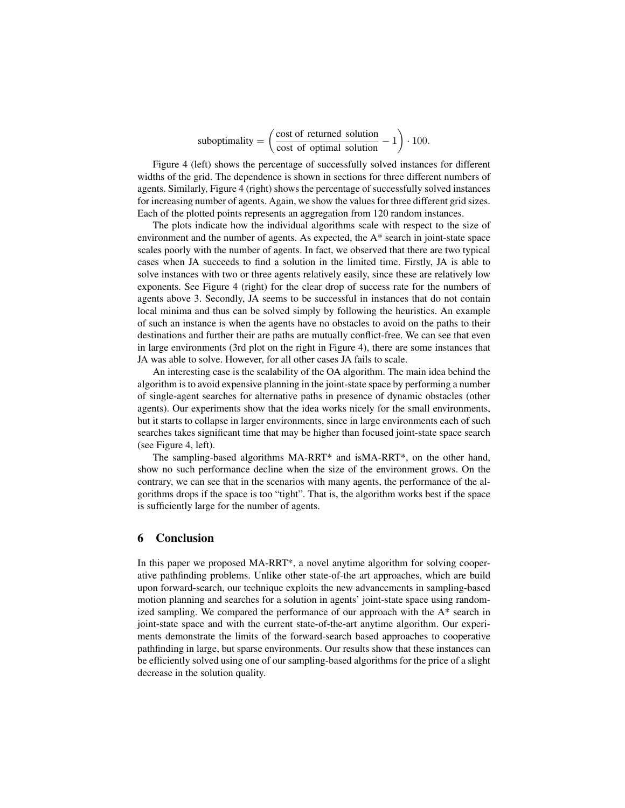suboptimality  $= \left( \frac{\text{cost of returned solution}}{\text{cost of total total time}} \right)$  $\frac{\text{cost of returned solution}}{\text{cost of optimal solution}} - 1$ . 100.

Figure 4 (left) shows the percentage of successfully solved instances for different widths of the grid. The dependence is shown in sections for three different numbers of agents. Similarly, Figure 4 (right) shows the percentage of successfully solved instances for increasing number of agents. Again, we show the values for three different grid sizes. Each of the plotted points represents an aggregation from 120 random instances.

The plots indicate how the individual algorithms scale with respect to the size of environment and the number of agents. As expected, the A\* search in joint-state space scales poorly with the number of agents. In fact, we observed that there are two typical cases when JA succeeds to find a solution in the limited time. Firstly, JA is able to solve instances with two or three agents relatively easily, since these are relatively low exponents. See Figure 4 (right) for the clear drop of success rate for the numbers of agents above 3. Secondly, JA seems to be successful in instances that do not contain local minima and thus can be solved simply by following the heuristics. An example of such an instance is when the agents have no obstacles to avoid on the paths to their destinations and further their are paths are mutually conflict-free. We can see that even in large environments (3rd plot on the right in Figure 4), there are some instances that JA was able to solve. However, for all other cases JA fails to scale.

An interesting case is the scalability of the OA algorithm. The main idea behind the algorithm is to avoid expensive planning in the joint-state space by performing a number of single-agent searches for alternative paths in presence of dynamic obstacles (other agents). Our experiments show that the idea works nicely for the small environments, but it starts to collapse in larger environments, since in large environments each of such searches takes significant time that may be higher than focused joint-state space search (see Figure 4, left).

The sampling-based algorithms MA-RRT\* and isMA-RRT\*, on the other hand, show no such performance decline when the size of the environment grows. On the contrary, we can see that in the scenarios with many agents, the performance of the algorithms drops if the space is too "tight". That is, the algorithm works best if the space is sufficiently large for the number of agents.

## 6 Conclusion

In this paper we proposed MA-RRT\*, a novel anytime algorithm for solving cooperative pathfinding problems. Unlike other state-of-the art approaches, which are build upon forward-search, our technique exploits the new advancements in sampling-based motion planning and searches for a solution in agents' joint-state space using randomized sampling. We compared the performance of our approach with the A\* search in joint-state space and with the current state-of-the-art anytime algorithm. Our experiments demonstrate the limits of the forward-search based approaches to cooperative pathfinding in large, but sparse environments. Our results show that these instances can be efficiently solved using one of our sampling-based algorithms for the price of a slight decrease in the solution quality.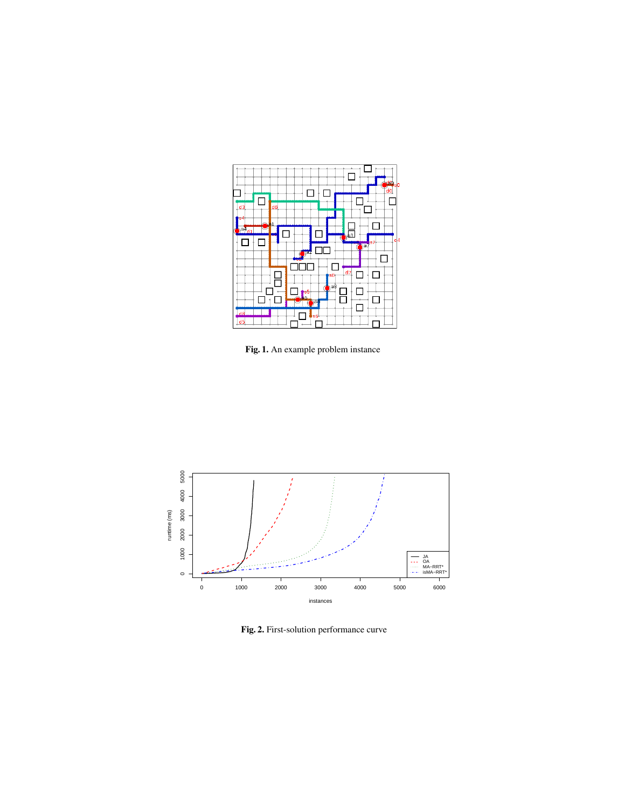

Fig. 1. An example problem instance



Fig. 2. First-solution performance curve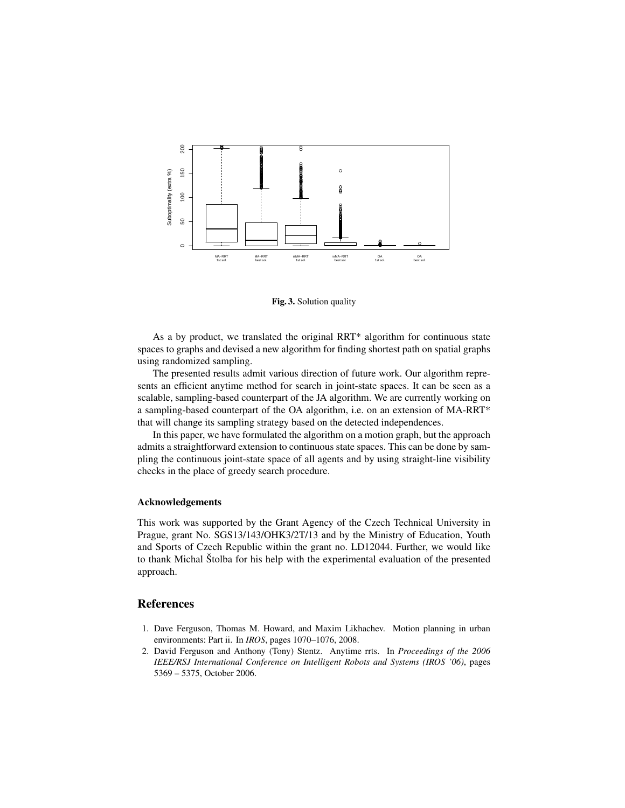

Fig. 3. Solution quality

As a by product, we translated the original RRT\* algorithm for continuous state spaces to graphs and devised a new algorithm for finding shortest path on spatial graphs using randomized sampling.

The presented results admit various direction of future work. Our algorithm represents an efficient anytime method for search in joint-state spaces. It can be seen as a scalable, sampling-based counterpart of the JA algorithm. We are currently working on a sampling-based counterpart of the OA algorithm, i.e. on an extension of MA-RRT\* that will change its sampling strategy based on the detected independences.

In this paper, we have formulated the algorithm on a motion graph, but the approach admits a straightforward extension to continuous state spaces. This can be done by sampling the continuous joint-state space of all agents and by using straight-line visibility checks in the place of greedy search procedure.

#### Acknowledgements

This work was supported by the Grant Agency of the Czech Technical University in Prague, grant No. SGS13/143/OHK3/2T/13 and by the Ministry of Education, Youth and Sports of Czech Republic within the grant no. LD12044. Further, we would like to thank Michal Štolba for his help with the experimental evaluation of the presented approach.

## **References**

- 1. Dave Ferguson, Thomas M. Howard, and Maxim Likhachev. Motion planning in urban environments: Part ii. In *IROS*, pages 1070–1076, 2008.
- 2. David Ferguson and Anthony (Tony) Stentz. Anytime rrts. In *Proceedings of the 2006 IEEE/RSJ International Conference on Intelligent Robots and Systems (IROS '06)*, pages 5369 – 5375, October 2006.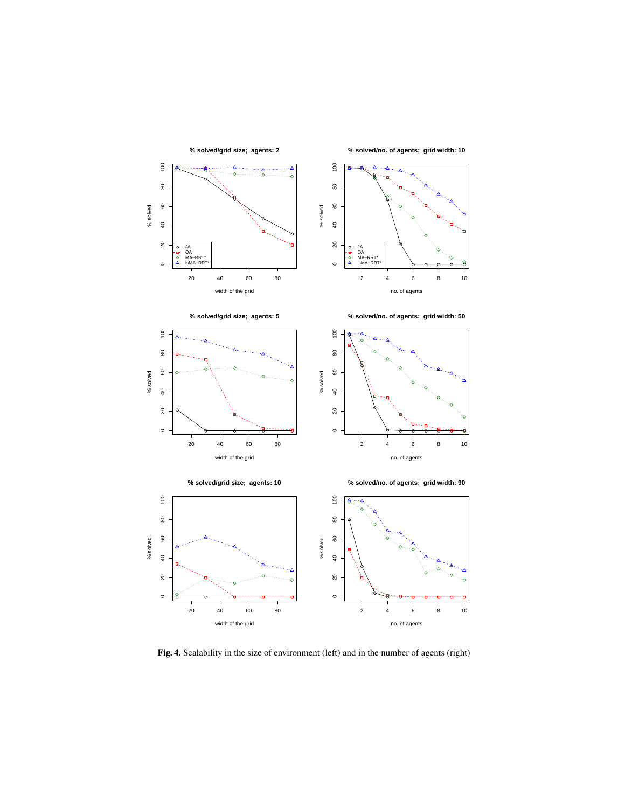

Fig. 4. Scalability in the size of environment (left) and in the number of agents (right)